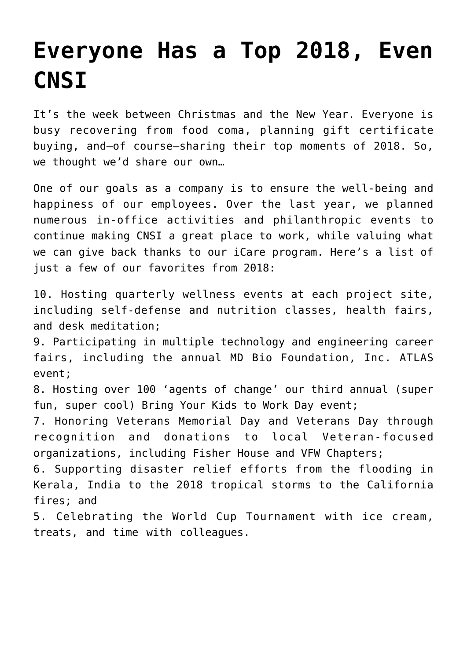## **[Everyone Has a Top 2018, Even](https://www.cns-inc.com/insights/thought-leadership/top-ten-2018/) [CNSI](https://www.cns-inc.com/insights/thought-leadership/top-ten-2018/)**

It's the week between Christmas and the New Year. Everyone is busy recovering from food coma, planning gift certificate buying, and—of course—sharing their top moments of 2018. So, we thought we'd share our own…

One of our goals as a company is to ensure the well-being and happiness of our employees. Over the last year, we planned numerous in-office activities and philanthropic events to continue making CNSI a great place to work, while valuing what we can give back thanks to our iCare program. Here's a list of just a few of our favorites from 2018:

10. Hosting quarterly wellness events at each project site, including self-defense and nutrition classes, health fairs, and desk meditation;

9. Participating in multiple technology and engineering career fairs, including the annual MD Bio Foundation, Inc. ATLAS event;

8. Hosting over 100 'agents of change' our third annual (super fun, super cool) Bring Your Kids to Work Day event;

7. Honoring Veterans Memorial Day and Veterans Day through recognition and donations to local Veteran-focused organizations, including Fisher House and VFW Chapters;

6. Supporting disaster relief efforts from the flooding in Kerala, India to the 2018 tropical storms to the California fires; and

5. Celebrating the World Cup Tournament with ice cream, treats, and time with colleagues.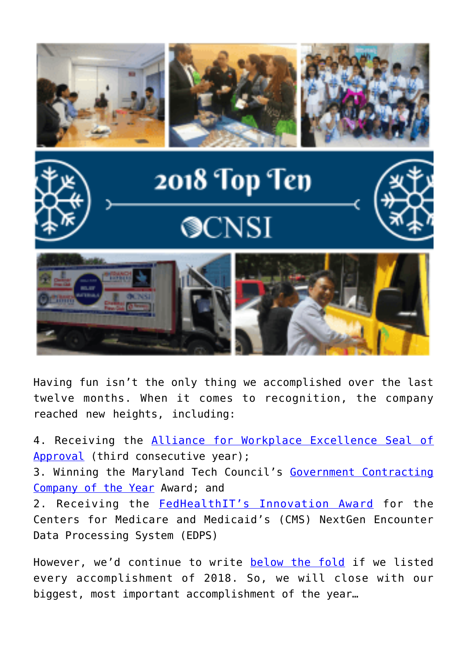



## 2018 Top Ten **OCNSI**





Having fun isn't the only thing we accomplished over the last twelve months. When it comes to recognition, the company reached new heights, including:

4. Receiving the [Alliance for Workplace Excellence Seal of](http://www.excellentworkplace.org/awards-workplace.html) [Approval](http://www.excellentworkplace.org/awards-workplace.html) (third consecutive year); 3. Winning the Maryland Tech Council's [Government Contracting](https://www.businesswire.com/news/home/20180518005075/en/Maryland-Tech-Council-Announces-Winners-30th-Annual) [Company of the Year](https://www.businesswire.com/news/home/20180518005075/en/Maryland-Tech-Council-Announces-Winners-30th-Annual) Award; and 2. Receiving the [FedHealthIT's Innovation Award](https://washingtonexec.com/2018/06/cnsi-receives-fedhealthit-innovation-award-for-new-encounter-data-processing-system/) for the Centers for Medicare and Medicaid's (CMS) NextGen Encounter Data Processing System (EDPS)

However, we'd continue to write [below the fold](https://www.wordstream.com/below-the-fold) if we listed every accomplishment of 2018. So, we will close with our biggest, most important accomplishment of the year…